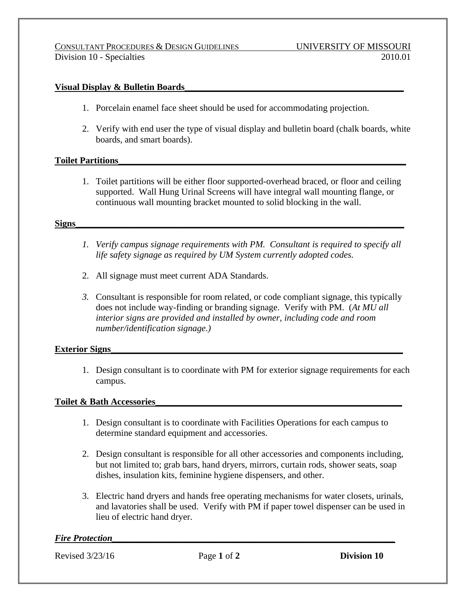## **Visual Display & Bulletin Boards\_\_\_\_\_\_\_\_\_\_\_\_\_\_\_\_\_\_\_\_\_\_\_\_\_\_\_\_\_\_\_\_\_\_\_\_\_\_\_\_\_\_\_\_\_\_\_\_**

- 1. Porcelain enamel face sheet should be used for accommodating projection.
- 2. Verify with end user the type of visual display and bulletin board (chalk boards, white boards, and smart boards).

### **Toilet Partitions\_\_\_\_\_\_\_\_\_\_\_\_\_\_\_\_\_\_\_\_\_\_\_\_\_\_\_\_\_\_\_\_\_\_\_\_\_\_\_\_\_\_\_\_\_\_\_\_\_\_\_\_\_\_\_\_\_\_\_\_\_\_\_**

1. Toilet partitions will be either floor supported-overhead braced, or floor and ceiling supported. Wall Hung Urinal Screens will have integral wall mounting flange, or continuous wall mounting bracket mounted to solid blocking in the wall.

### **Signs\_\_\_\_\_\_\_\_\_\_\_\_\_\_\_\_\_\_\_\_\_\_\_\_\_\_\_\_\_\_\_\_\_\_\_\_\_\_\_\_\_\_\_\_\_\_\_\_\_\_\_\_\_\_\_\_\_\_\_\_\_\_\_\_\_\_\_\_\_\_\_\_**

- *1. Verify campus signage requirements with PM. Consultant is required to specify all life safety signage as required by UM System currently adopted codes.*
- 2. All signage must meet current ADA Standards.
- *3.* Consultant is responsible for room related, or code compliant signage, this typically does not include way-finding or branding signage. Verify with PM. (*At MU all interior signs are provided and installed by owner, including code and room number/identification signage.)*

### **Exterior Signs**

1. Design consultant is to coordinate with PM for exterior signage requirements for each campus.

### **Toilet & Bath Accessories**

- 1. Design consultant is to coordinate with Facilities Operations for each campus to determine standard equipment and accessories.
- 2. Design consultant is responsible for all other accessories and components including, but not limited to; grab bars, hand dryers, mirrors, curtain rods, shower seats, soap dishes, insulation kits, feminine hygiene dispensers, and other.
- 3. Electric hand dryers and hands free operating mechanisms for water closets, urinals, and lavatories shall be used. Verify with PM if paper towel dispenser can be used in lieu of electric hand dryer.

### *Fire Protection*

Revised 3/23/16 Page **1** of **2 Division 10**